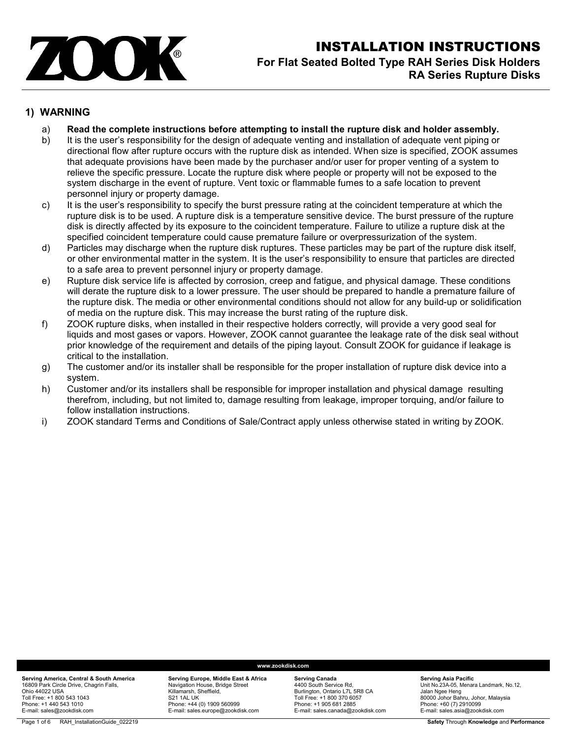

# INSTALLATION INSTRUCTIONS **For Flat Seated Bolted Type RAH Series Disk Holders RA Series Rupture Disks**

### **1) WARNING**

- a) **Read the complete instructions before attempting to install the rupture disk and holder assembly.**
- b) It is the user's responsibility for the design of adequate venting and installation of adequate vent piping or directional flow after rupture occurs with the rupture disk as intended. When size is specified, ZOOK assumes that adequate provisions have been made by the purchaser and/or user for proper venting of a system to relieve the specific pressure. Locate the rupture disk where people or property will not be exposed to the system discharge in the event of rupture. Vent toxic or flammable fumes to a safe location to prevent personnel injury or property damage.
- c) It is the user's responsibility to specify the burst pressure rating at the coincident temperature at which the rupture disk is to be used. A rupture disk is a temperature sensitive device. The burst pressure of the rupture disk is directly affected by its exposure to the coincident temperature. Failure to utilize a rupture disk at the specified coincident temperature could cause premature failure or overpressurization of the system.
- d) Particles may discharge when the rupture disk ruptures. These particles may be part of the rupture disk itself, or other environmental matter in the system. It is the user's responsibility to ensure that particles are directed to a safe area to prevent personnel injury or property damage.
- e) Rupture disk service life is affected by corrosion, creep and fatigue, and physical damage. These conditions will derate the rupture disk to a lower pressure. The user should be prepared to handle a premature failure of the rupture disk. The media or other environmental conditions should not allow for any build-up or solidification of media on the rupture disk. This may increase the burst rating of the rupture disk.
- f) ZOOK rupture disks, when installed in their respective holders correctly, will provide a very good seal for liquids and most gases or vapors. However, ZOOK cannot guarantee the leakage rate of the disk seal without prior knowledge of the requirement and details of the piping layout. Consult ZOOK for guidance if leakage is critical to the installation.
- g) The customer and/or its installer shall be responsible for the proper installation of rupture disk device into a system.
- h) Customer and/or its installers shall be responsible for improper installation and physical damage resulting therefrom, including, but not limited to, damage resulting from leakage, improper torquing, and/or failure to follow installation instructions.
- i) ZOOK standard Terms and Conditions of Sale/Contract apply unless otherwise stated in writing by ZOOK.

#### **Serving Europe, Middle East & Africa** Navigation House, Bridge Street Killamarsh, Sheffield, S21 1AL UK Phone: +44 (0) 1909 560999 E-mail: sales.europe@zookdisk.com

#### **www.zookdisk.com**

**Serving Canada** 4400 South Service Rd, Burlington, Ontario L7L 5R8 CA Toll Free: +1 800 370 6057 Phone: +1 905 681 2885 E-mail: sales.canada@zookdisk.com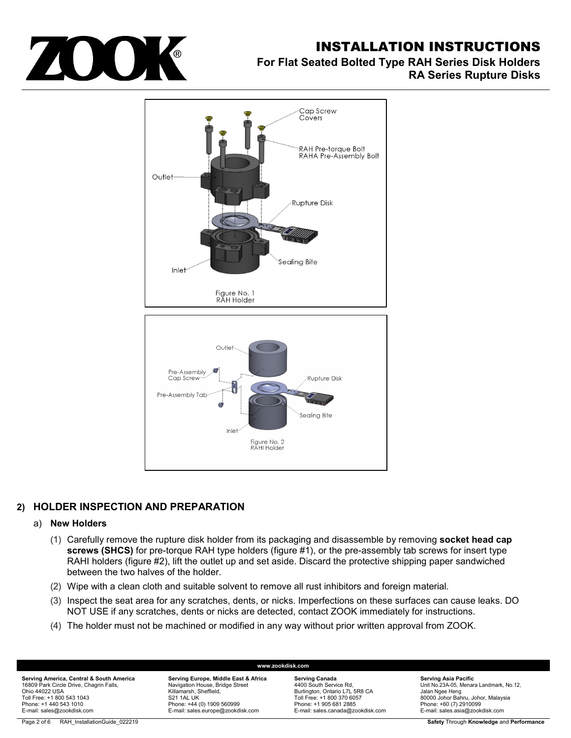

# INSTALLATION INSTRUCTIONS

# **For Flat Seated Bolted Type RAH Series Disk Holders RA Series Rupture Disks**



# **2) HOLDER INSPECTION AND PREPARATION**

#### a) **New Holders**

- (1) Carefully remove the rupture disk holder from its packaging and disassemble by removing **socket head cap screws (SHCS)** for pre-torque RAH type holders (figure #1), or the pre-assembly tab screws for insert type RAHI holders (figure #2), lift the outlet up and set aside. Discard the protective shipping paper sandwiched between the two halves of the holder.
- (2) Wipe with a clean cloth and suitable solvent to remove all rust inhibitors and foreign material.
- (3) Inspect the seat area for any scratches, dents, or nicks. Imperfections on these surfaces can cause leaks. DO NOT USE if any scratches, dents or nicks are detected, contact ZOOK immediately for instructions.

**www.zookdisk.com**

(4) The holder must not be machined or modified in any way without prior written approval from ZOOK.

**Serving America, Central & South America** 16809 Park Circle Drive, Chagrin Falls, Ohio 44022 USA Toll Free: +1 800 543 1043 Phone: +1 440 543 1010 E-mail: sales@zookdisk.com

**Serving Europe, Middle East & Africa** Navigation House, Bridge Street Killamarsh, Sheffield, S21 1AL UK Phone: +44 (0) 1909 560999 E-mail: sales.europe@zookdisk.com

**Serving Canada** 4400 South Service Rd, Burlington, Ontario L7L 5R8 CA Toll Free: +1 800 370 6057 Phone: +1 905 681 2885 E-mail: sales.canada@zookdisk.com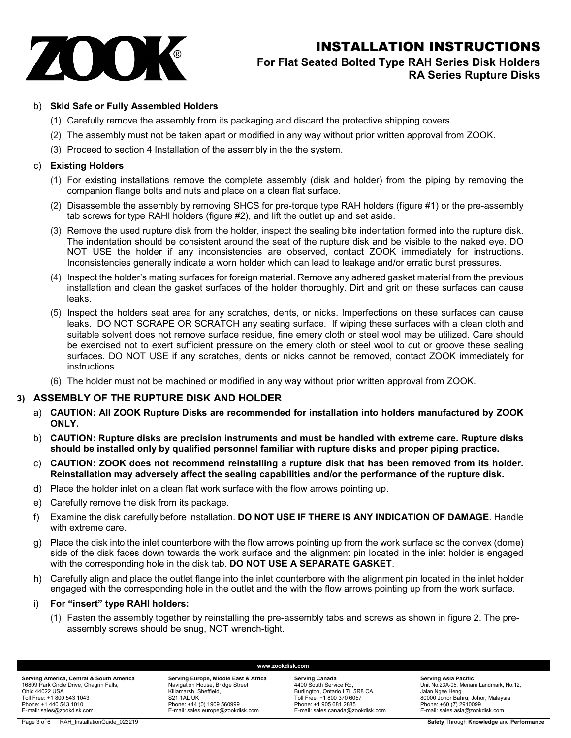

### b) **Skid Safe or Fully Assembled Holders**

- (1) Carefully remove the assembly from its packaging and discard the protective shipping covers.
- (2) The assembly must not be taken apart or modified in any way without prior written approval from ZOOK.
- (3) Proceed to section 4 Installation of the assembly in the the system.

#### c) **Existing Holders**

- (1) For existing installations remove the complete assembly (disk and holder) from the piping by removing the companion flange bolts and nuts and place on a clean flat surface.
- (2) Disassemble the assembly by removing SHCS for pre-torque type RAH holders (figure #1) or the pre-assembly tab screws for type RAHI holders (figure #2), and lift the outlet up and set aside.
- (3) Remove the used rupture disk from the holder, inspect the sealing bite indentation formed into the rupture disk. The indentation should be consistent around the seat of the rupture disk and be visible to the naked eye. DO NOT USE the holder if any inconsistencies are observed, contact ZOOK immediately for instructions. Inconsistencies generally indicate a worn holder which can lead to leakage and/or erratic burst pressures.
- (4) Inspect the holder's mating surfaces for foreign material. Remove any adhered gasket material from the previous installation and clean the gasket surfaces of the holder thoroughly. Dirt and grit on these surfaces can cause leaks.
- (5) Inspect the holders seat area for any scratches, dents, or nicks. Imperfections on these surfaces can cause leaks. DO NOT SCRAPE OR SCRATCH any seating surface. If wiping these surfaces with a clean cloth and suitable solvent does not remove surface residue, fine emery cloth or steel wool may be utilized. Care should be exercised not to exert sufficient pressure on the emery cloth or steel wool to cut or groove these sealing surfaces. DO NOT USE if any scratches, dents or nicks cannot be removed, contact ZOOK immediately for instructions.
- (6) The holder must not be machined or modified in any way without prior written approval from ZOOK.

### **3) ASSEMBLY OF THE RUPTURE DISK AND HOLDER**

- a) **CAUTION: All ZOOK Rupture Disks are recommended for installation into holders manufactured by ZOOK ONLY.**
- b) **CAUTION: Rupture disks are precision instruments and must be handled with extreme care. Rupture disks should be installed only by qualified personnel familiar with rupture disks and proper piping practice.**
- c) **CAUTION: ZOOK does not recommend reinstalling a rupture disk that has been removed from its holder. Reinstallation may adversely affect the sealing capabilities and/or the performance of the rupture disk.**
- d) Place the holder inlet on a clean flat work surface with the flow arrows pointing up.
- e) Carefully remove the disk from its package.
- f) Examine the disk carefully before installation. **DO NOT USE IF THERE IS ANY INDICATION OF DAMAGE**. Handle with extreme care.
- Place the disk into the inlet counterbore with the flow arrows pointing up from the work surface so the convex (dome) side of the disk faces down towards the work surface and the alignment pin located in the inlet holder is engaged with the corresponding hole in the disk tab. **DO NOT USE A SEPARATE GASKET**.
- h) Carefully align and place the outlet flange into the inlet counterbore with the alignment pin located in the inlet holder engaged with the corresponding hole in the outlet and the with the flow arrows pointing up from the work surface.

#### i) **For "insert" type RAHI holders:**

(1) Fasten the assembly together by reinstalling the pre-assembly tabs and screws as shown in figure 2. The preassembly screws should be snug, NOT wrench-tight.

**www.zookdisk.com**

**Serving Europe, Middle East & Africa** Navigation House, Bridge Street Killamarsh, Sheffield, S21 1AL UK Phone: +44 (0) 1909 560999 E-mail: sales.europe@zookdisk.com

**Serving Canada** 4400 South Service Rd, Burlington, Ontario L7L 5R8 CA Toll Free: +1 800 370 6057 Phone: +1 905 681 2885 E-mail: sales.canada@zookdisk.com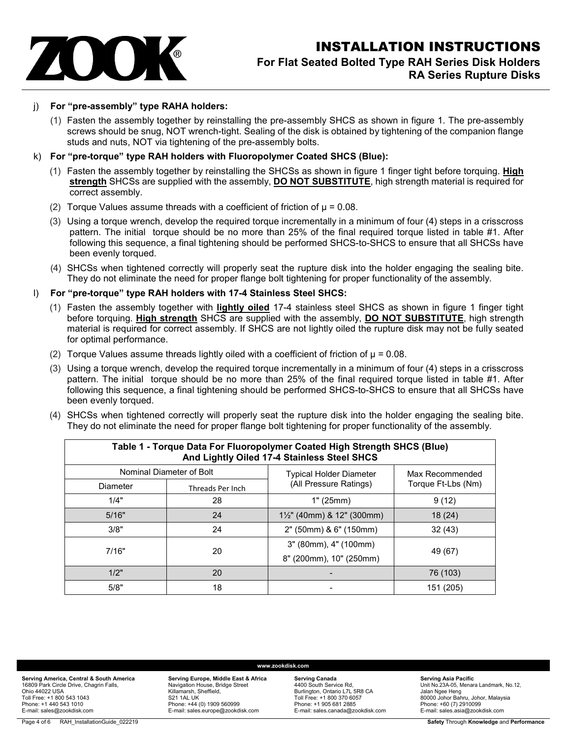

#### j) **For "pre-assembly" type RAHA holders:**

(1) Fasten the assembly together by reinstalling the pre-assembly SHCS as shown in figure 1. The pre-assembly screws should be snug, NOT wrench-tight. Sealing of the disk is obtained by tightening of the companion flange studs and nuts, NOT via tightening of the pre-assembly bolts.

#### k) **For "pre-torque" type RAH holders with Fluoropolymer Coated SHCS (Blue):**

- (1) Fasten the assembly together by reinstalling the SHCSs as shown in figure 1 finger tight before torquing. **High strength** SHCSs are supplied with the assembly, **DO NOT SUBSTITUTE**, high strength material is required for correct assembly.
- (2) Torque Values assume threads with a coefficient of friction of  $\mu$  = 0.08.
- (3) Using a torque wrench, develop the required torque incrementally in a minimum of four (4) steps in a crisscross pattern. The initial torque should be no more than 25% of the final required torque listed in table #1. After following this sequence, a final tightening should be performed SHCS-to-SHCS to ensure that all SHCSs have been evenly torqued.
- (4) SHCSs when tightened correctly will properly seat the rupture disk into the holder engaging the sealing bite. They do not eliminate the need for proper flange bolt tightening for proper functionality of the assembly.

#### l) **For "pre-torque" type RAH holders with 17-4 Stainless Steel SHCS:**

- (1) Fasten the assembly together with **lightly oiled** 17-4 stainless steel SHCS as shown in figure 1 finger tight before torquing. **High strength** SHCS are supplied with the assembly, **DO NOT SUBSTITUTE**, high strength material is required for correct assembly. If SHCS are not lightly oiled the rupture disk may not be fully seated for optimal performance.
- (2) Torque Values assume threads lightly oiled with a coefficient of friction of  $\mu$  = 0.08.
- (3) Using a torque wrench, develop the required torque incrementally in a minimum of four (4) steps in a crisscross pattern. The initial torque should be no more than 25% of the final required torque listed in table #1. After following this sequence, a final tightening should be performed SHCS-to-SHCS to ensure that all SHCSs have been evenly torqued.
- (4) SHCSs when tightened correctly will properly seat the rupture disk into the holder engaging the sealing bite. They do not eliminate the need for proper flange bolt tightening for proper functionality of the assembly.

| Table 1 - Torque Data For Fluoropolymer Coated High Strength SHCS (Blue)<br>And Lightly Oiled 17-4 Stainless Steel SHCS |                          |                                       |                                       |  |  |  |  |  |  |
|-------------------------------------------------------------------------------------------------------------------------|--------------------------|---------------------------------------|---------------------------------------|--|--|--|--|--|--|
|                                                                                                                         | Nominal Diameter of Bolt | <b>Typical Holder Diameter</b>        | Max Recommended<br>Torque Ft-Lbs (Nm) |  |  |  |  |  |  |
| Diameter                                                                                                                | Threads Per Inch         | (All Pressure Ratings)                |                                       |  |  |  |  |  |  |
| 1/4"                                                                                                                    | 28                       | 1" (25mm)                             | 9(12)                                 |  |  |  |  |  |  |
| 5/16"                                                                                                                   | 24                       | $1\frac{1}{2}$ " (40mm) & 12" (300mm) | 18(24)                                |  |  |  |  |  |  |
| 3/8"                                                                                                                    | 24                       | 2" (50mm) & 6" (150mm)                | 32(43)                                |  |  |  |  |  |  |
| 7/16"                                                                                                                   | 20                       | 3" (80mm), 4" (100mm)                 | 49 (67)                               |  |  |  |  |  |  |
|                                                                                                                         |                          | 8" (200mm), 10" (250mm)               |                                       |  |  |  |  |  |  |
| 1/2"                                                                                                                    | 20                       |                                       | 76 (103)                              |  |  |  |  |  |  |
| 5/8"                                                                                                                    | 18                       |                                       | 151 (205)                             |  |  |  |  |  |  |

**Serving America, Central & South America** 16809 Park Circle Drive, Chagrin Falls, Ohio 44022 USA Toll Free: +1 800 543 1043 Phone: +1 440 543 1010 E-mail: sales@zookdisk.com

#### **www.zookdisk.com**

**Serving Europe, Middle East & Africa** Navigation House, Bridge Street Killamarsh, Sheffield, S21 1AL UK Phone: +44 (0) 1909 560999 E-mail: sales.europe@zookdisk.com

**Serving Canada** 4400 South Service Rd, Burlington, Ontario L7L 5R8 CA Toll Free: +1 800 370 6057 Phone: +1 905 681 2885 E-mail: sales.canada@zookdisk.com

#### **Serving Asia Pacific** Unit No.23A-05, Menara Landmark, No.12, Jalan Ngee Heng 80000 Johor Bahru, Johor, Malaysia Phone: +60 (7) 2910099

E-mail: sales.asia@zookdisk.com

Page 4 of 6 RAH\_InstallationGuide\_022219 **Safety Through Knowledge and Performance**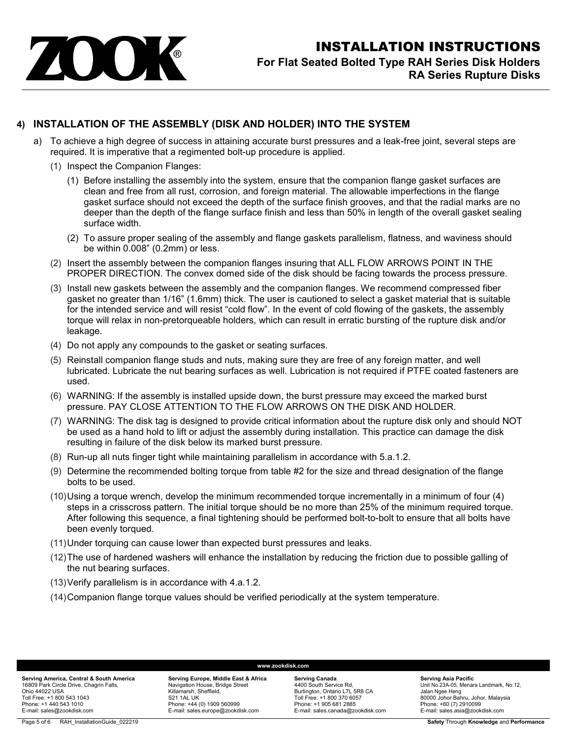

## **4) INSTALLATION OF THE ASSEMBLY (DISK AND HOLDER) INTO THE SYSTEM**

- a) To achieve a high degree of success in attaining accurate burst pressures and a leak-free joint, several steps are required. It is imperative that a regimented bolt-up procedure is applied.
	- (1) Inspect the Companion Flanges:
		- (1) Before installing the assembly into the system, ensure that the companion flange gasket surfaces are clean and free from all rust, corrosion, and foreign material. The allowable imperfections in the flange gasket surface should not exceed the depth of the surface finish grooves, and that the radial marks are no deeper than the depth of the flange surface finish and less than 50% in length of the overall gasket sealing surface width.
		- (2) To assure proper sealing of the assembly and flange gaskets parallelism, flatness, and waviness should be within 0.008" (0.2mm) or less.
	- (2) Insert the assembly between the companion flanges insuring that ALL FLOW ARROWS POINT IN THE PROPER DIRECTION. The convex domed side of the disk should be facing towards the process pressure.
	- (3) Install new gaskets between the assembly and the companion flanges. We recommend compressed fiber gasket no greater than 1/16" (1.6mm) thick. The user is cautioned to select a gasket material that is suitable for the intended service and will resist "cold flow". In the event of cold flowing of the gaskets, the assembly torque will relax in non-pretorqueable holders, which can result in erratic bursting of the rupture disk and/or leakage.
	- (4) Do not apply any compounds to the gasket or seating surfaces.
	- (5) Reinstall companion flange studs and nuts, making sure they are free of any foreign matter, and well lubricated. Lubricate the nut bearing surfaces as well. Lubrication is not required if PTFE coated fasteners are used.
	- (6) WARNING: If the assembly is installed upside down, the burst pressure may exceed the marked burst pressure. PAY CLOSE ATTENTION TO THE FLOW ARROWS ON THE DISK AND HOLDER.
	- (7) WARNING: The disk tag is designed to provide critical information about the rupture disk only and should NOT be used as a hand hold to lift or adjust the assembly during installation. This practice can damage the disk resulting in failure of the disk below its marked burst pressure.
	- (8) Run-up all nuts finger tight while maintaining parallelism in accordance with 5.a.1.2.
	- (9) Determine the recommended bolting torque from table #2 for the size and thread designation of the flange bolts to be used.
	- (10)Using a torque wrench, develop the minimum recommended torque incrementally in a minimum of four (4) steps in a crisscross pattern. The initial torque should be no more than 25% of the minimum required torque. After following this sequence, a final tightening should be performed bolt-to-bolt to ensure that all bolts have been evenly torqued.
	- (11)Under torquing can cause lower than expected burst pressures and leaks.
	- (12)The use of hardened washers will enhance the installation by reducing the friction due to possible galling of the nut bearing surfaces.

**www.zookdisk.com**

- (13)Verify parallelism is in accordance with 4.a.1.2.
- (14)Companion flange torque values should be verified periodically at the system temperature.

**Serving Europe, Middle East & Africa** Navigation House, Bridge Street Killamarsh, Sheffield, S21 1AL UK Phone: +44 (0) 1909 560999 E-mail: sales.europe@zookdisk.com

**Serving Canada** 4400 South Service Rd, Burlington, Ontario L7L 5R8 CA Toll Free: +1 800 370 6057 Phone: +1 905 681 2885 E-mail: sales.canada@zookdisk.com